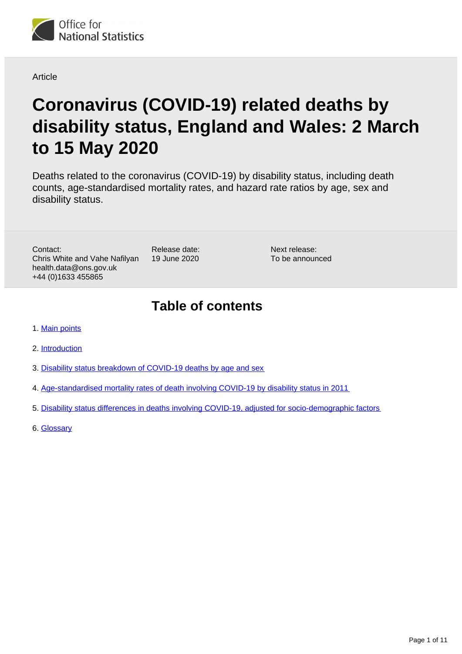<span id="page-0-0"></span>

### **Article**

# **Coronavirus (COVID-19) related deaths by disability status, England and Wales: 2 March to 15 May 2020**

Deaths related to the coronavirus (COVID-19) by disability status, including death counts, age-standardised mortality rates, and hazard rate ratios by age, sex and disability status.

Contact: Chris White and Vahe Nafilyan health.data@ons.gov.uk +44 (0)1633 455865

Release date: 19 June 2020

Next release: To be announced

## **Table of contents**

- 1. [Main points](#page-1-0)
- 2. [Introduction](#page-1-1)
- 3. [Disability status breakdown of COVID-19 deaths by age and sex](#page-2-0)
- 4. [Age-standardised mortality rates of death involving COVID-19 by disability status in 2011](#page-3-0)
- 5. [Disability status differences in deaths involving COVID-19, adjusted for socio-demographic factors](#page-7-0)
- 6. [Glossary](#page-9-0)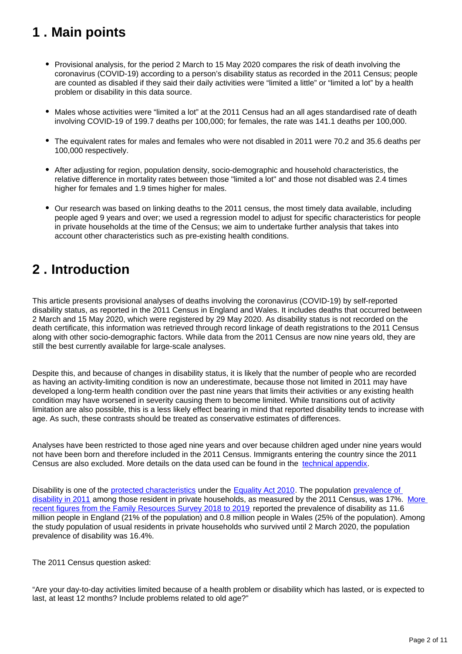## <span id="page-1-0"></span>**1 . Main points**

- Provisional analysis, for the period 2 March to 15 May 2020 compares the risk of death involving the coronavirus (COVID-19) according to a person's disability status as recorded in the 2011 Census; people are counted as disabled if they said their daily activities were "limited a little" or "limited a lot" by a health problem or disability in this data source.
- Males whose activities were "limited a lot" at the 2011 Census had an all ages standardised rate of death involving COVID-19 of 199.7 deaths per 100,000; for females, the rate was 141.1 deaths per 100,000.
- The equivalent rates for males and females who were not disabled in 2011 were 70.2 and 35.6 deaths per 100,000 respectively.
- After adjusting for region, population density, socio-demographic and household characteristics, the relative difference in mortality rates between those "limited a lot" and those not disabled was 2.4 times higher for females and 1.9 times higher for males.
- Our research was based on linking deaths to the 2011 census, the most timely data available, including people aged 9 years and over; we used a regression model to adjust for specific characteristics for people in private households at the time of the Census; we aim to undertake further analysis that takes into account other characteristics such as pre-existing health conditions.

## <span id="page-1-1"></span>**2 . Introduction**

This article presents provisional analyses of deaths involving the coronavirus (COVID-19) by self-reported disability status, as reported in the 2011 Census in England and Wales. It includes deaths that occurred between 2 March and 15 May 2020, which were registered by 29 May 2020. As disability status is not recorded on the death certificate, this information was retrieved through record linkage of death registrations to the 2011 Census along with other socio-demographic factors. While data from the 2011 Census are now nine years old, they are still the best currently available for large-scale analyses.

Despite this, and because of changes in disability status, it is likely that the number of people who are recorded as having an activity-limiting condition is now an underestimate, because those not limited in 2011 may have developed a long-term health condition over the past nine years that limits their activities or any existing health condition may have worsened in severity causing them to become limited. While transitions out of activity limitation are also possible, this is a less likely effect bearing in mind that reported disability tends to increase with age. As such, these contrasts should be treated as conservative estimates of differences.

Analyses have been restricted to those aged nine years and over because children aged under nine years would not have been born and therefore included in the 2011 Census. Immigrants entering the country since the 2011 Census are also excluded. More details on the data used can be found in the [technical appendix.](https://www.ons.gov.uk/peoplepopulationandcommunity/birthsdeathsandmarriages/deaths/methodologies/coronaviruscovid19relateddeathsbyethnicgroupreligiousgroupanddisabilityenglandandwalesmethodology)

Disability is one of the [protected characteristics](https://www.equalityhumanrights.com/en/equality-act/protected-characteristics) under the [Equality Act 2010](http://www.legislation.gov.uk/ukpga/2010/15/contents). The population prevalence of [disability in 2011](https://www.ons.gov.uk/peoplepopulationandcommunity/populationandmigration/populationestimates/bulletins/2011census/2013-05-16#health) among those resident in private households, as measured by the 2011 Census, was 17%. [More](https://assets.publishing.service.gov.uk/government/uploads/system/uploads/attachment_data/file/874523/frs-disability-data-tables-2018-19.xlsx)  [recent figures from the Family Resources Survey 2018 to 2019](https://assets.publishing.service.gov.uk/government/uploads/system/uploads/attachment_data/file/874523/frs-disability-data-tables-2018-19.xlsx) reported the prevalence of disability as 11.6 million people in England (21% of the population) and 0.8 million people in Wales (25% of the population). Among the study population of usual residents in private households who survived until 2 March 2020, the population prevalence of disability was 16.4%.

The 2011 Census question asked:

"Are your day-to-day activities limited because of a health problem or disability which has lasted, or is expected to last, at least 12 months? Include problems related to old age?"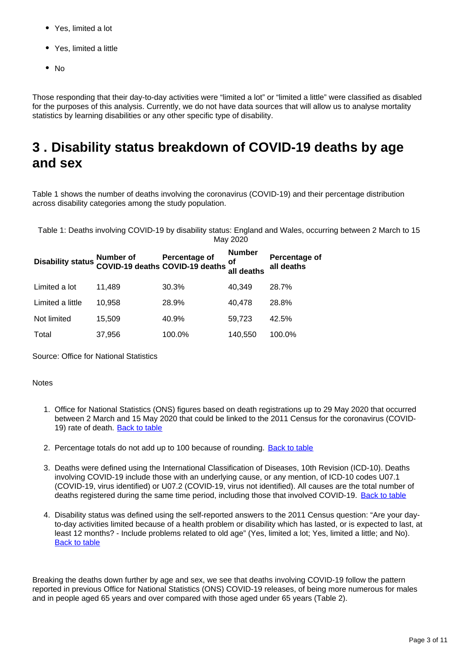- Yes, limited a lot
- Yes, limited a little
- $\bullet$  No

Those responding that their day-to-day activities were "limited a lot" or "limited a little" were classified as disabled for the purposes of this analysis. Currently, we do not have data sources that will allow us to analyse mortality statistics by learning disabilities or any other specific type of disability.

## <span id="page-2-0"></span>**3 . Disability status breakdown of COVID-19 deaths by age and sex**

Table 1 shows the number of deaths involving the coronavirus (COVID-19) and their percentage distribution across disability categories among the study population.

Table 1: Deaths involving COVID-19 by disability status: England and Wales, occurring between 2 March to 15 May 2020

| <b>Disability status</b> | Number of | Percentage of<br>COVID-19 deaths COVID-19 deaths | <b>Number</b><br>οf<br>all deaths | Percentage of<br>all deaths |
|--------------------------|-----------|--------------------------------------------------|-----------------------------------|-----------------------------|
| Limited a lot            | 11,489    | 30.3%                                            | 40.349                            | 28.7%                       |
| Limited a little         | 10.958    | 28.9%                                            | 40.478                            | 28.8%                       |
| Not limited              | 15.509    | 40.9%                                            | 59,723                            | 42.5%                       |
| Total                    | 37,956    | 100.0%                                           | 140,550                           | 100.0%                      |

Source: Office for National Statistics

#### **Notes**

- 1. Office for National Statistics (ONS) figures based on death registrations up to 29 May 2020 that occurred between 2 March and 15 May 2020 that could be linked to the 2011 Census for the coronavirus (COVID-19) rate of death. [Back to table](#page-0-0)
- 2. Percentage totals do not add up to 100 because of rounding. **[Back to table](#page-0-0)**
- 3. Deaths were defined using the International Classification of Diseases, 10th Revision (ICD-10). Deaths involving COVID-19 include those with an underlying cause, or any mention, of ICD-10 codes U07.1 (COVID-19, virus identified) or U07.2 (COVID-19, virus not identified). All causes are the total number of deaths registered during the same time period, including those that involved COVID-19. [Back to table](#page-0-0)
- 4. Disability status was defined using the self-reported answers to the 2011 Census question: "Are your dayto-day activities limited because of a health problem or disability which has lasted, or is expected to last, at least 12 months? - Include problems related to old age" (Yes, limited a lot; Yes, limited a little; and No). [Back to table](#page-0-0)

Breaking the deaths down further by age and sex, we see that deaths involving COVID-19 follow the pattern reported in previous Office for National Statistics (ONS) COVID-19 releases, of being more numerous for males and in people aged 65 years and over compared with those aged under 65 years (Table 2).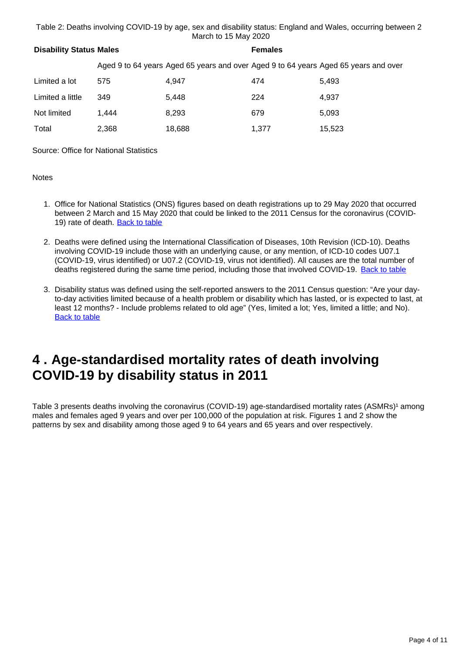Table 2: Deaths involving COVID-19 by age, sex and disability status: England and Wales, occurring between 2 March to 15 May 2020

| <b>Disability Status Males</b> |       |       | <b>Females</b> |                                                                                     |  |  |
|--------------------------------|-------|-------|----------------|-------------------------------------------------------------------------------------|--|--|
|                                |       |       |                | Aged 9 to 64 years Aged 65 years and over Aged 9 to 64 years Aged 65 years and over |  |  |
| Limited a lot                  | 575   | 4.947 | 474            | 5.493                                                                               |  |  |
| Limited a little               | 349   | 5.448 | 224            | 4.937                                                                               |  |  |
| Not limited                    | 1.444 | 8,293 | 679            | 5,093                                                                               |  |  |

Total 2,368 18,688 1,377 15,523

Source: Office for National Statistics

**Notes** 

- 1. Office for National Statistics (ONS) figures based on death registrations up to 29 May 2020 that occurred between 2 March and 15 May 2020 that could be linked to the 2011 Census for the coronavirus (COVID-19) rate of death. [Back to table](#page-0-0)
- 2. Deaths were defined using the International Classification of Diseases, 10th Revision (ICD-10). Deaths involving COVID-19 include those with an underlying cause, or any mention, of ICD-10 codes U07.1 (COVID-19, virus identified) or U07.2 (COVID-19, virus not identified). All causes are the total number of deaths registered during the same time period, including those that involved COVID-19. [Back to table](#page-0-0)
- 3. Disability status was defined using the self-reported answers to the 2011 Census question: "Are your dayto-day activities limited because of a health problem or disability which has lasted, or is expected to last, at least 12 months? - Include problems related to old age" (Yes, limited a lot; Yes, limited a little; and No). [Back to table](#page-0-0)

## <span id="page-3-0"></span>**4 . Age-standardised mortality rates of death involving COVID-19 by disability status in 2011**

Table 3 presents deaths involving the coronavirus (COVID-19) age-standardised mortality rates (ASMRs)<sup>1</sup> among males and females aged 9 years and over per 100,000 of the population at risk. Figures 1 and 2 show the patterns by sex and disability among those aged 9 to 64 years and 65 years and over respectively.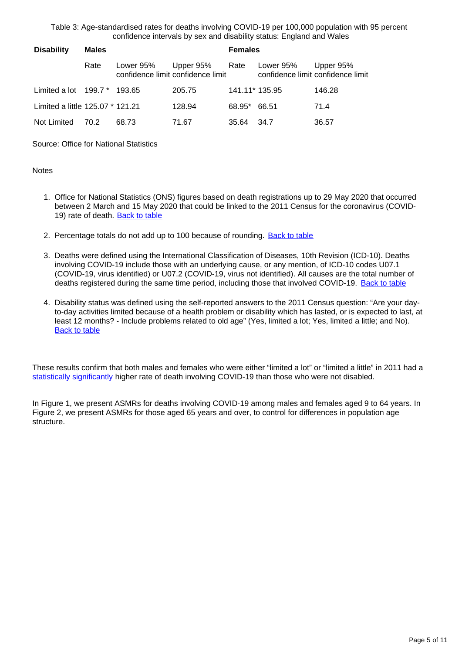Table 3: Age-standardised rates for deaths involving COVID-19 per 100,000 population with 95 percent confidence intervals by sex and disability status: England and Wales

| <b>Disability</b>                | <b>Males</b> |           |                                                     | <b>Females</b> |           |                                                |
|----------------------------------|--------------|-----------|-----------------------------------------------------|----------------|-----------|------------------------------------------------|
|                                  | Rate         | Lower 95% | Upper 95% Rate<br>confidence limit confidence limit |                | Lower 95% | Upper 95%<br>confidence limit confidence limit |
| Limited a lot $199.7*193.65$     |              |           | 205.75                                              | 141.11* 135.95 |           | 146.28                                         |
| Limited a little 125.07 * 121.21 |              |           | 128.94                                              | 68.95* 66.51   |           | 71.4                                           |
| Not Limited                      | 70.2         | 68.73     | 71.67                                               | 35.64          | -34.7     | 36.57                                          |

Source: Office for National Statistics

#### **Notes**

- 1. Office for National Statistics (ONS) figures based on death registrations up to 29 May 2020 that occurred between 2 March and 15 May 2020 that could be linked to the 2011 Census for the coronavirus (COVID-19) rate of death. [Back to table](#page-0-0)
- 2. Percentage totals do not add up to 100 because of rounding. **[Back to table](#page-0-0)**
- 3. Deaths were defined using the International Classification of Diseases, 10th Revision (ICD-10). Deaths involving COVID-19 include those with an underlying cause, or any mention, of ICD-10 codes U07.1 (COVID-19, virus identified) or U07.2 (COVID-19, virus not identified). All causes are the total number of deaths registered during the same time period, including those that involved COVID-19. [Back to table](#page-0-0)
- 4. Disability status was defined using the self-reported answers to the 2011 Census question: "Are your dayto-day activities limited because of a health problem or disability which has lasted, or is expected to last, at least 12 months? - Include problems related to old age" (Yes, limited a lot; Yes, limited a little; and No). **[Back to table](#page-0-0)**

These results confirm that both males and females who were either "limited a lot" or "limited a little" in 2011 had a [statistically significantly](https://www.ons.gov.uk/methodology/methodologytopicsandstatisticalconcepts/uncertaintyandhowwemeasureit#statistical-significance) higher rate of death involving COVID-19 than those who were not disabled.

In Figure 1, we present ASMRs for deaths involving COVID-19 among males and females aged 9 to 64 years. In Figure 2, we present ASMRs for those aged 65 years and over, to control for differences in population age structure.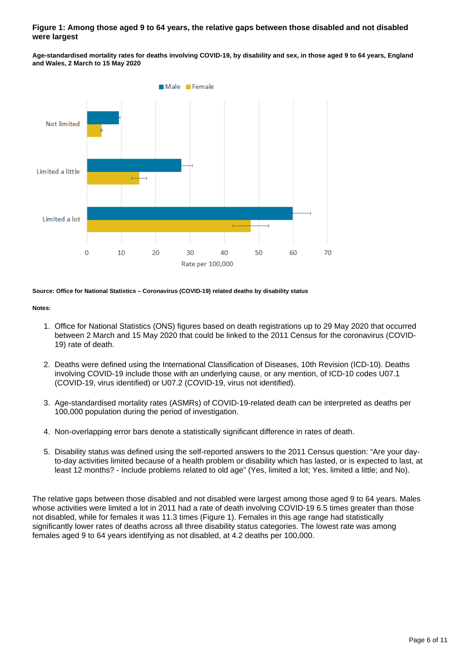#### **Figure 1: Among those aged 9 to 64 years, the relative gaps between those disabled and not disabled were largest**

**Age-standardised mortality rates for deaths involving COVID-19, by disability and sex, in those aged 9 to 64 years, England and Wales, 2 March to 15 May 2020**



#### **Source: Office for National Statistics – Coronavirus (COVID-19) related deaths by disability status**

#### **Notes:**

- 1. Office for National Statistics (ONS) figures based on death registrations up to 29 May 2020 that occurred between 2 March and 15 May 2020 that could be linked to the 2011 Census for the coronavirus (COVID-19) rate of death.
- 2. Deaths were defined using the International Classification of Diseases, 10th Revision (ICD-10). Deaths involving COVID-19 include those with an underlying cause, or any mention, of ICD-10 codes U07.1 (COVID-19, virus identified) or U07.2 (COVID-19, virus not identified).
- 3. Age-standardised mortality rates (ASMRs) of COVID-19-related death can be interpreted as deaths per 100,000 population during the period of investigation.
- 4. Non-overlapping error bars denote a statistically significant difference in rates of death.
- 5. Disability status was defined using the self-reported answers to the 2011 Census question: "Are your dayto-day activities limited because of a health problem or disability which has lasted, or is expected to last, at least 12 months? - Include problems related to old age" (Yes, limited a lot; Yes, limited a little; and No).

The relative gaps between those disabled and not disabled were largest among those aged 9 to 64 years. Males whose activities were limited a lot in 2011 had a rate of death involving COVID-19 6.5 times greater than those not disabled, while for females it was 11.3 times (Figure 1). Females in this age range had statistically significantly lower rates of deaths across all three disability status categories. The lowest rate was among females aged 9 to 64 years identifying as not disabled, at 4.2 deaths per 100,000.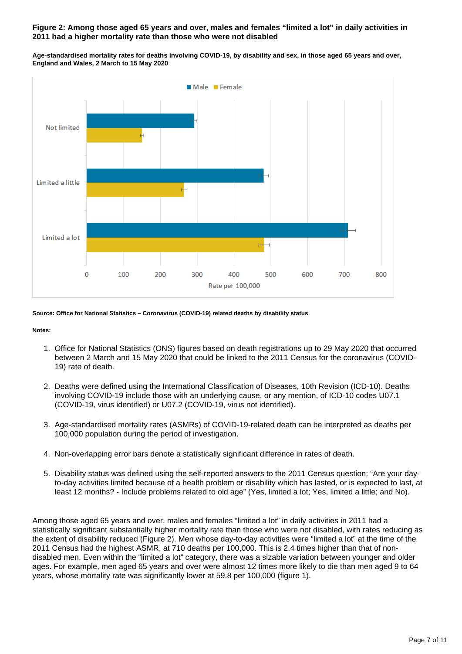#### **Figure 2: Among those aged 65 years and over, males and females "limited a lot" in daily activities in 2011 had a higher mortality rate than those who were not disabled**



**Age-standardised mortality rates for deaths involving COVID-19, by disability and sex, in those aged 65 years and over, England and Wales, 2 March to 15 May 2020**

#### **Source: Office for National Statistics – Coronavirus (COVID-19) related deaths by disability status**

**Notes:**

- 1. Office for National Statistics (ONS) figures based on death registrations up to 29 May 2020 that occurred between 2 March and 15 May 2020 that could be linked to the 2011 Census for the coronavirus (COVID-19) rate of death.
- 2. Deaths were defined using the International Classification of Diseases, 10th Revision (ICD-10). Deaths involving COVID-19 include those with an underlying cause, or any mention, of ICD-10 codes U07.1 (COVID-19, virus identified) or U07.2 (COVID-19, virus not identified).
- 3. Age-standardised mortality rates (ASMRs) of COVID-19-related death can be interpreted as deaths per 100,000 population during the period of investigation.
- 4. Non-overlapping error bars denote a statistically significant difference in rates of death.
- 5. Disability status was defined using the self-reported answers to the 2011 Census question: "Are your dayto-day activities limited because of a health problem or disability which has lasted, or is expected to last, at least 12 months? - Include problems related to old age" (Yes, limited a lot; Yes, limited a little; and No).

Among those aged 65 years and over, males and females "limited a lot" in daily activities in 2011 had a statistically significant substantially higher mortality rate than those who were not disabled, with rates reducing as the extent of disability reduced (Figure 2). Men whose day-to-day activities were "limited a lot" at the time of the 2011 Census had the highest ASMR, at 710 deaths per 100,000. This is 2.4 times higher than that of nondisabled men. Even within the "limited a lot" category, there was a sizable variation between younger and older ages. For example, men aged 65 years and over were almost 12 times more likely to die than men aged 9 to 64 years, whose mortality rate was significantly lower at 59.8 per 100,000 (figure 1).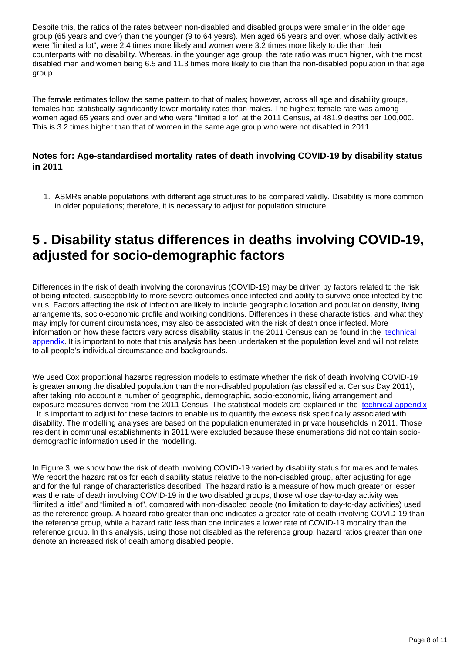Despite this, the ratios of the rates between non-disabled and disabled groups were smaller in the older age group (65 years and over) than the younger (9 to 64 years). Men aged 65 years and over, whose daily activities were "limited a lot", were 2.4 times more likely and women were 3.2 times more likely to die than their counterparts with no disability. Whereas, in the younger age group, the rate ratio was much higher, with the most disabled men and women being 6.5 and 11.3 times more likely to die than the non-disabled population in that age group.

The female estimates follow the same pattern to that of males; however, across all age and disability groups, females had statistically significantly lower mortality rates than males. The highest female rate was among women aged 65 years and over and who were "limited a lot" at the 2011 Census, at 481.9 deaths per 100,000. This is 3.2 times higher than that of women in the same age group who were not disabled in 2011.

### **Notes for: Age-standardised mortality rates of death involving COVID-19 by disability status in 2011**

1. ASMRs enable populations with different age structures to be compared validly. Disability is more common in older populations; therefore, it is necessary to adjust for population structure.

## <span id="page-7-0"></span>**5 . Disability status differences in deaths involving COVID-19, adjusted for socio-demographic factors**

Differences in the risk of death involving the coronavirus (COVID-19) may be driven by factors related to the risk of being infected, susceptibility to more severe outcomes once infected and ability to survive once infected by the virus. Factors affecting the risk of infection are likely to include geographic location and population density, living arrangements, socio-economic profile and working conditions. Differences in these characteristics, and what they may imply for current circumstances, may also be associated with the risk of death once infected. More information on how these factors vary across disability status in the 2011 Census can be found in the technical [appendix.](https://www.ons.gov.uk/peoplepopulationandcommunity/birthsdeathsandmarriages/deaths/methodologies/coronaviruscovid19relateddeathsbyethnicgroupreligiousgroupanddisabilityenglandandwalesmethodology) It is important to note that this analysis has been undertaken at the population level and will not relate to all people's individual circumstance and backgrounds.

We used Cox proportional hazards regression models to estimate whether the risk of death involving COVID-19 is greater among the disabled population than the non-disabled population (as classified at Census Day 2011), after taking into account a number of geographic, demographic, socio-economic, living arrangement and exposure measures derived from the 2011 Census. The statistical models are explained in the [technical appendix](https://www.ons.gov.uk/peoplepopulationandcommunity/birthsdeathsandmarriages/deaths/methodologies/coronaviruscovid19relateddeathsbyethnicgroupreligiousgroupanddisabilityenglandandwalesmethodology) . It is important to adjust for these factors to enable us to quantify the excess risk specifically associated with disability. The modelling analyses are based on the population enumerated in private households in 2011. Those resident in communal establishments in 2011 were excluded because these enumerations did not contain sociodemographic information used in the modelling.

In Figure 3, we show how the risk of death involving COVID-19 varied by disability status for males and females. We report the hazard ratios for each disability status relative to the non-disabled group, after adjusting for age and for the full range of characteristics described. The hazard ratio is a measure of how much greater or lesser was the rate of death involving COVID-19 in the two disabled groups, those whose day-to-day activity was "limited a little" and "limited a lot", compared with non-disabled people (no limitation to day-to-day activities) used as the reference group. A hazard ratio greater than one indicates a greater rate of death involving COVID-19 than the reference group, while a hazard ratio less than one indicates a lower rate of COVID-19 mortality than the reference group. In this analysis, using those not disabled as the reference group, hazard ratios greater than one denote an increased risk of death among disabled people.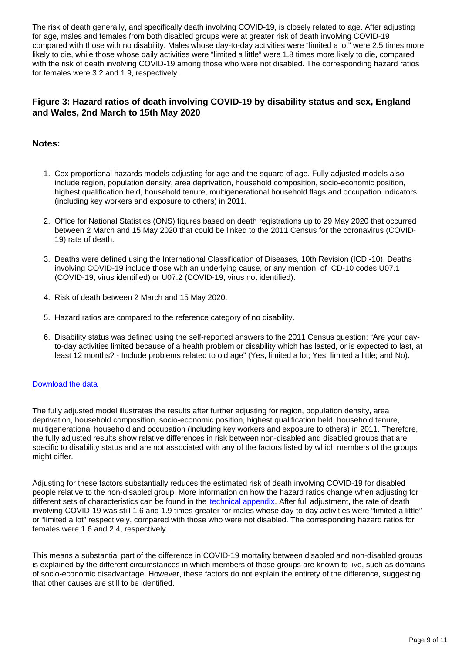The risk of death generally, and specifically death involving COVID-19, is closely related to age. After adjusting for age, males and females from both disabled groups were at greater risk of death involving COVID-19 compared with those with no disability. Males whose day-to-day activities were "limited a lot" were 2.5 times more likely to die, while those whose daily activities were "limited a little" were 1.8 times more likely to die, compared with the risk of death involving COVID-19 among those who were not disabled. The corresponding hazard ratios for females were 3.2 and 1.9, respectively.

### **Figure 3: Hazard ratios of death involving COVID-19 by disability status and sex, England and Wales, 2nd March to 15th May 2020**

### **Notes:**

- 1. Cox proportional hazards models adjusting for age and the square of age. Fully adjusted models also include region, population density, area deprivation, household composition, socio-economic position, highest qualification held, household tenure, multigenerational household flags and occupation indicators (including key workers and exposure to others) in 2011.
- 2. Office for National Statistics (ONS) figures based on death registrations up to 29 May 2020 that occurred between 2 March and 15 May 2020 that could be linked to the 2011 Census for the coronavirus (COVID-19) rate of death.
- 3. Deaths were defined using the International Classification of Diseases, 10th Revision (ICD -10). Deaths involving COVID-19 include those with an underlying cause, or any mention, of ICD-10 codes U07.1 (COVID-19, virus identified) or U07.2 (COVID-19, virus not identified).
- 4. Risk of death between 2 March and 15 May 2020.
- 5. Hazard ratios are compared to the reference category of no disability.
- 6. Disability status was defined using the self-reported answers to the 2011 Census question: "Are your dayto-day activities limited because of a health problem or disability which has lasted, or is expected to last, at least 12 months? - Include problems related to old age" (Yes, limited a lot; Yes, limited a little; and No).

#### [Download the data](https://www.ons.gov.uk/visualisations/dvc857/disability/datadownload.csv)

The fully adjusted model illustrates the results after further adjusting for region, population density, area deprivation, household composition, socio-economic position, highest qualification held, household tenure, multigenerational household and occupation (including key workers and exposure to others) in 2011. Therefore, the fully adjusted results show relative differences in risk between non-disabled and disabled groups that are specific to disability status and are not associated with any of the factors listed by which members of the groups might differ.

Adjusting for these factors substantially reduces the estimated risk of death involving COVID-19 for disabled people relative to the non-disabled group. More information on how the hazard ratios change when adjusting for different sets of characteristics can be found in the [technical appendix](https://www.ons.gov.uk/peoplepopulationandcommunity/birthsdeathsandmarriages/deaths/methodologies/coronaviruscovid19relateddeathsbyethnicgroupreligiousgroupanddisabilityenglandandwalesmethodology). After full adjustment, the rate of death involving COVID-19 was still 1.6 and 1.9 times greater for males whose day-to-day activities were "limited a little" or "limited a lot" respectively, compared with those who were not disabled. The corresponding hazard ratios for females were 1.6 and 2.4, respectively.

This means a substantial part of the difference in COVID-19 mortality between disabled and non-disabled groups is explained by the different circumstances in which members of those groups are known to live, such as domains of socio-economic disadvantage. However, these factors do not explain the entirety of the difference, suggesting that other causes are still to be identified.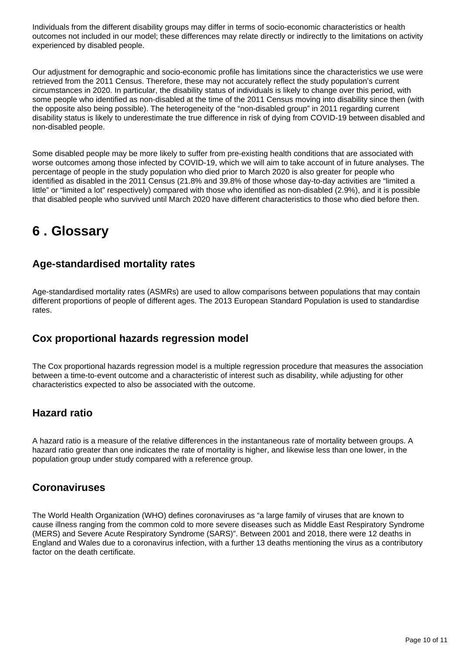Individuals from the different disability groups may differ in terms of socio-economic characteristics or health outcomes not included in our model; these differences may relate directly or indirectly to the limitations on activity experienced by disabled people.

Our adjustment for demographic and socio-economic profile has limitations since the characteristics we use were retrieved from the 2011 Census. Therefore, these may not accurately reflect the study population's current circumstances in 2020. In particular, the disability status of individuals is likely to change over this period, with some people who identified as non-disabled at the time of the 2011 Census moving into disability since then (with the opposite also being possible). The heterogeneity of the "non-disabled group" in 2011 regarding current disability status is likely to underestimate the true difference in risk of dying from COVID-19 between disabled and non-disabled people.

Some disabled people may be more likely to suffer from pre-existing health conditions that are associated with worse outcomes among those infected by COVID-19, which we will aim to take account of in future analyses. The percentage of people in the study population who died prior to March 2020 is also greater for people who identified as disabled in the 2011 Census (21.8% and 39.8% of those whose day-to-day activities are "limited a little" or "limited a lot" respectively) compared with those who identified as non-disabled (2.9%), and it is possible that disabled people who survived until March 2020 have different characteristics to those who died before then.

## <span id="page-9-0"></span>**6 . Glossary**

### **Age-standardised mortality rates**

Age-standardised mortality rates (ASMRs) are used to allow comparisons between populations that may contain different proportions of people of different ages. The 2013 European Standard Population is used to standardise rates.

### **Cox proportional hazards regression model**

The Cox proportional hazards regression model is a multiple regression procedure that measures the association between a time-to-event outcome and a characteristic of interest such as disability, while adjusting for other characteristics expected to also be associated with the outcome.

### **Hazard ratio**

A hazard ratio is a measure of the relative differences in the instantaneous rate of mortality between groups. A hazard ratio greater than one indicates the rate of mortality is higher, and likewise less than one lower, in the population group under study compared with a reference group.

### **Coronaviruses**

The World Health Organization (WHO) defines coronaviruses as "a large family of viruses that are known to cause illness ranging from the common cold to more severe diseases such as Middle East Respiratory Syndrome (MERS) and Severe Acute Respiratory Syndrome (SARS)". Between 2001 and 2018, there were 12 deaths in England and Wales due to a coronavirus infection, with a further 13 deaths mentioning the virus as a contributory factor on the death certificate.